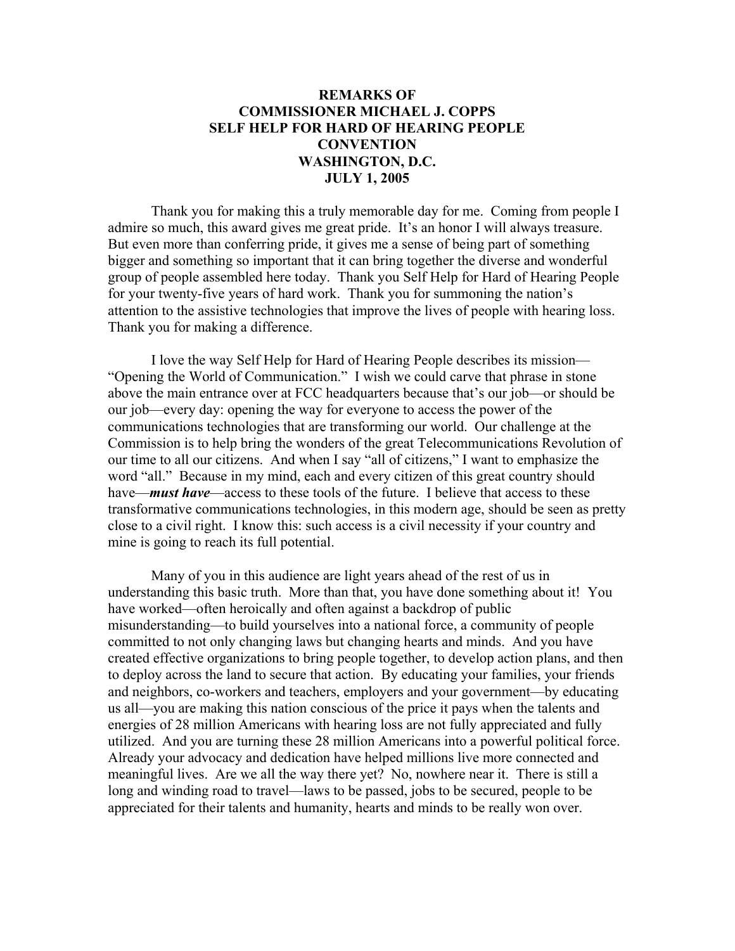## **REMARKS OF COMMISSIONER MICHAEL J. COPPS SELF HELP FOR HARD OF HEARING PEOPLE CONVENTION WASHINGTON, D.C. JULY 1, 2005**

 Thank you for making this a truly memorable day for me. Coming from people I admire so much, this award gives me great pride. It's an honor I will always treasure. But even more than conferring pride, it gives me a sense of being part of something bigger and something so important that it can bring together the diverse and wonderful group of people assembled here today. Thank you Self Help for Hard of Hearing People for your twenty-five years of hard work. Thank you for summoning the nation's attention to the assistive technologies that improve the lives of people with hearing loss. Thank you for making a difference.

 I love the way Self Help for Hard of Hearing People describes its mission— "Opening the World of Communication." I wish we could carve that phrase in stone above the main entrance over at FCC headquarters because that's our job—or should be our job—every day: opening the way for everyone to access the power of the communications technologies that are transforming our world. Our challenge at the Commission is to help bring the wonders of the great Telecommunications Revolution of our time to all our citizens. And when I say "all of citizens," I want to emphasize the word "all." Because in my mind, each and every citizen of this great country should have—*must have*—access to these tools of the future. I believe that access to these transformative communications technologies, in this modern age, should be seen as pretty close to a civil right. I know this: such access is a civil necessity if your country and mine is going to reach its full potential.

 Many of you in this audience are light years ahead of the rest of us in understanding this basic truth. More than that, you have done something about it! You have worked—often heroically and often against a backdrop of public misunderstanding—to build yourselves into a national force, a community of people committed to not only changing laws but changing hearts and minds. And you have created effective organizations to bring people together, to develop action plans, and then to deploy across the land to secure that action. By educating your families, your friends and neighbors, co-workers and teachers, employers and your government—by educating us all—you are making this nation conscious of the price it pays when the talents and energies of 28 million Americans with hearing loss are not fully appreciated and fully utilized. And you are turning these 28 million Americans into a powerful political force. Already your advocacy and dedication have helped millions live more connected and meaningful lives. Are we all the way there yet? No, nowhere near it. There is still a long and winding road to travel—laws to be passed, jobs to be secured, people to be appreciated for their talents and humanity, hearts and minds to be really won over.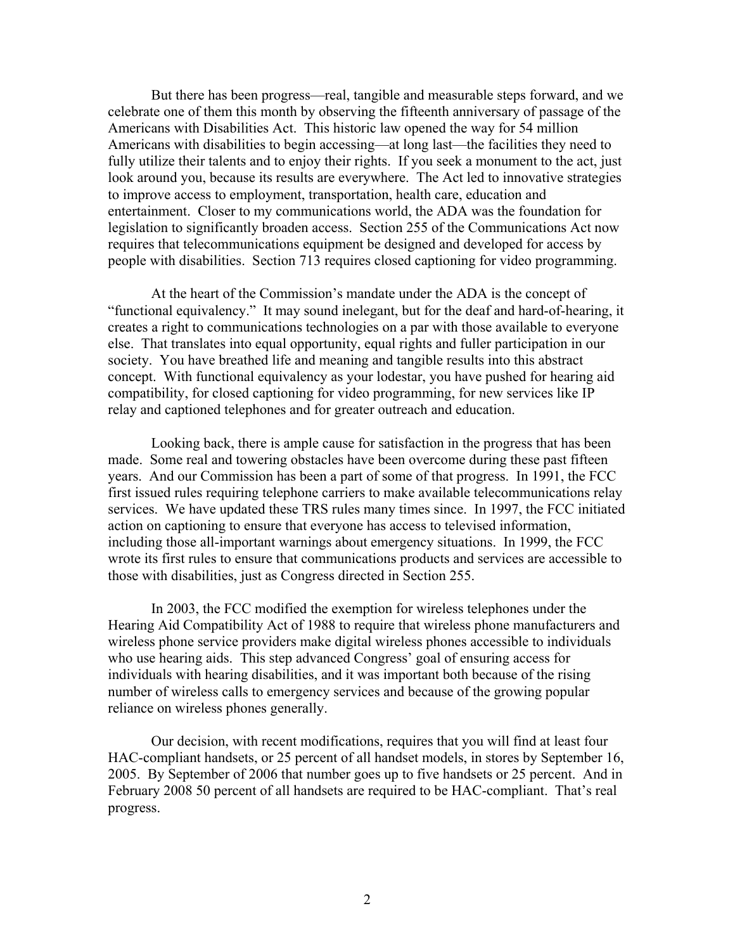But there has been progress—real, tangible and measurable steps forward, and we celebrate one of them this month by observing the fifteenth anniversary of passage of the Americans with Disabilities Act. This historic law opened the way for 54 million Americans with disabilities to begin accessing—at long last—the facilities they need to fully utilize their talents and to enjoy their rights. If you seek a monument to the act, just look around you, because its results are everywhere. The Act led to innovative strategies to improve access to employment, transportation, health care, education and entertainment. Closer to my communications world, the ADA was the foundation for legislation to significantly broaden access. Section 255 of the Communications Act now requires that telecommunications equipment be designed and developed for access by people with disabilities. Section 713 requires closed captioning for video programming.

At the heart of the Commission's mandate under the ADA is the concept of "functional equivalency." It may sound inelegant, but for the deaf and hard-of-hearing, it creates a right to communications technologies on a par with those available to everyone else. That translates into equal opportunity, equal rights and fuller participation in our society. You have breathed life and meaning and tangible results into this abstract concept. With functional equivalency as your lodestar, you have pushed for hearing aid compatibility, for closed captioning for video programming, for new services like IP relay and captioned telephones and for greater outreach and education.

 Looking back, there is ample cause for satisfaction in the progress that has been made. Some real and towering obstacles have been overcome during these past fifteen years. And our Commission has been a part of some of that progress. In 1991, the FCC first issued rules requiring telephone carriers to make available telecommunications relay services. We have updated these TRS rules many times since. In 1997, the FCC initiated action on captioning to ensure that everyone has access to televised information, including those all-important warnings about emergency situations. In 1999, the FCC wrote its first rules to ensure that communications products and services are accessible to those with disabilities, just as Congress directed in Section 255.

 In 2003, the FCC modified the exemption for wireless telephones under the Hearing Aid Compatibility Act of 1988 to require that wireless phone manufacturers and wireless phone service providers make digital wireless phones accessible to individuals who use hearing aids. This step advanced Congress' goal of ensuring access for individuals with hearing disabilities, and it was important both because of the rising number of wireless calls to emergency services and because of the growing popular reliance on wireless phones generally.

 Our decision, with recent modifications, requires that you will find at least four HAC-compliant handsets, or 25 percent of all handset models, in stores by September 16, 2005. By September of 2006 that number goes up to five handsets or 25 percent. And in February 2008 50 percent of all handsets are required to be HAC-compliant. That's real progress.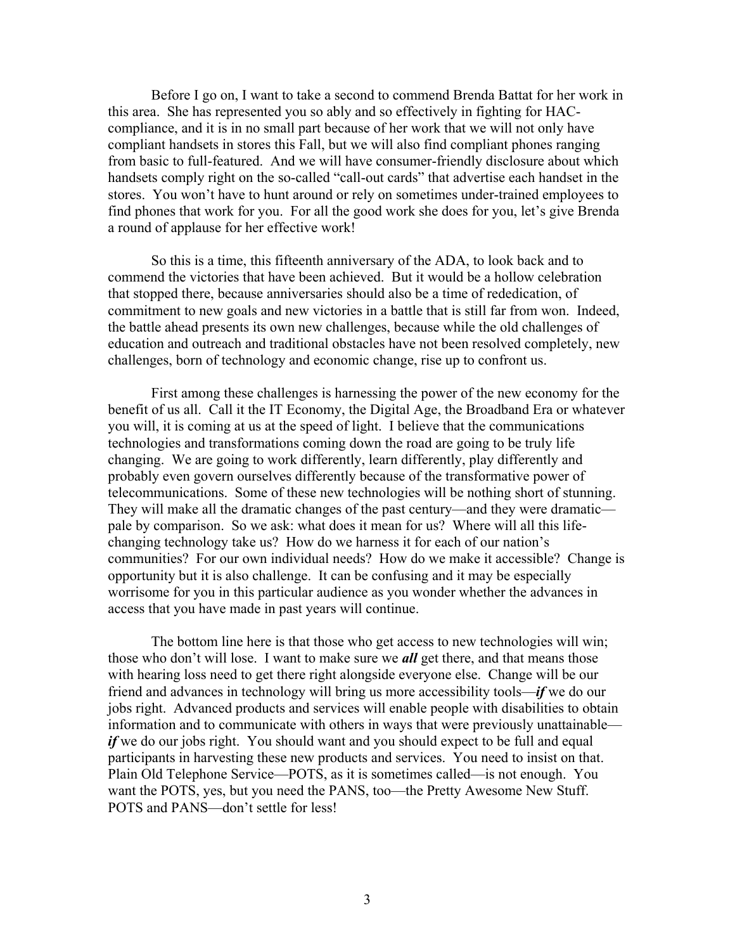Before I go on, I want to take a second to commend Brenda Battat for her work in this area. She has represented you so ably and so effectively in fighting for HACcompliance, and it is in no small part because of her work that we will not only have compliant handsets in stores this Fall, but we will also find compliant phones ranging from basic to full-featured. And we will have consumer-friendly disclosure about which handsets comply right on the so-called "call-out cards" that advertise each handset in the stores. You won't have to hunt around or rely on sometimes under-trained employees to find phones that work for you. For all the good work she does for you, let's give Brenda a round of applause for her effective work!

So this is a time, this fifteenth anniversary of the ADA, to look back and to commend the victories that have been achieved. But it would be a hollow celebration that stopped there, because anniversaries should also be a time of rededication, of commitment to new goals and new victories in a battle that is still far from won. Indeed, the battle ahead presents its own new challenges, because while the old challenges of education and outreach and traditional obstacles have not been resolved completely, new challenges, born of technology and economic change, rise up to confront us.

 First among these challenges is harnessing the power of the new economy for the benefit of us all. Call it the IT Economy, the Digital Age, the Broadband Era or whatever you will, it is coming at us at the speed of light. I believe that the communications technologies and transformations coming down the road are going to be truly life changing. We are going to work differently, learn differently, play differently and probably even govern ourselves differently because of the transformative power of telecommunications. Some of these new technologies will be nothing short of stunning. They will make all the dramatic changes of the past century—and they were dramatic pale by comparison. So we ask: what does it mean for us? Where will all this lifechanging technology take us? How do we harness it for each of our nation's communities? For our own individual needs? How do we make it accessible? Change is opportunity but it is also challenge. It can be confusing and it may be especially worrisome for you in this particular audience as you wonder whether the advances in access that you have made in past years will continue.

 The bottom line here is that those who get access to new technologies will win; those who don't will lose. I want to make sure we *all* get there, and that means those with hearing loss need to get there right alongside everyone else. Change will be our friend and advances in technology will bring us more accessibility tools—*if* we do our jobs right. Advanced products and services will enable people with disabilities to obtain information and to communicate with others in ways that were previously unattainable *if* we do our jobs right. You should want and you should expect to be full and equal participants in harvesting these new products and services. You need to insist on that. Plain Old Telephone Service—POTS, as it is sometimes called—is not enough. You want the POTS, yes, but you need the PANS, too—the Pretty Awesome New Stuff. POTS and PANS—don't settle for less!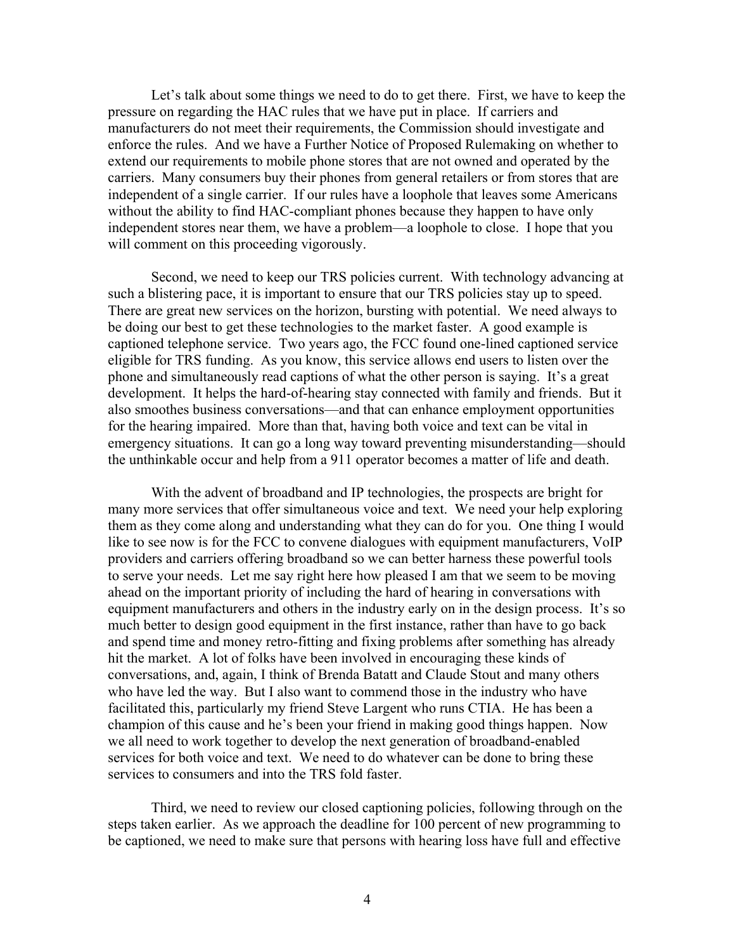Let's talk about some things we need to do to get there. First, we have to keep the pressure on regarding the HAC rules that we have put in place. If carriers and manufacturers do not meet their requirements, the Commission should investigate and enforce the rules. And we have a Further Notice of Proposed Rulemaking on whether to extend our requirements to mobile phone stores that are not owned and operated by the carriers. Many consumers buy their phones from general retailers or from stores that are independent of a single carrier. If our rules have a loophole that leaves some Americans without the ability to find HAC-compliant phones because they happen to have only independent stores near them, we have a problem—a loophole to close. I hope that you will comment on this proceeding vigorously.

Second, we need to keep our TRS policies current. With technology advancing at such a blistering pace, it is important to ensure that our TRS policies stay up to speed. There are great new services on the horizon, bursting with potential. We need always to be doing our best to get these technologies to the market faster. A good example is captioned telephone service. Two years ago, the FCC found one-lined captioned service eligible for TRS funding. As you know, this service allows end users to listen over the phone and simultaneously read captions of what the other person is saying. It's a great development. It helps the hard-of-hearing stay connected with family and friends. But it also smoothes business conversations—and that can enhance employment opportunities for the hearing impaired. More than that, having both voice and text can be vital in emergency situations. It can go a long way toward preventing misunderstanding—should the unthinkable occur and help from a 911 operator becomes a matter of life and death.

With the advent of broadband and IP technologies, the prospects are bright for many more services that offer simultaneous voice and text. We need your help exploring them as they come along and understanding what they can do for you. One thing I would like to see now is for the FCC to convene dialogues with equipment manufacturers, VoIP providers and carriers offering broadband so we can better harness these powerful tools to serve your needs. Let me say right here how pleased I am that we seem to be moving ahead on the important priority of including the hard of hearing in conversations with equipment manufacturers and others in the industry early on in the design process. It's so much better to design good equipment in the first instance, rather than have to go back and spend time and money retro-fitting and fixing problems after something has already hit the market. A lot of folks have been involved in encouraging these kinds of conversations, and, again, I think of Brenda Batatt and Claude Stout and many others who have led the way. But I also want to commend those in the industry who have facilitated this, particularly my friend Steve Largent who runs CTIA. He has been a champion of this cause and he's been your friend in making good things happen. Now we all need to work together to develop the next generation of broadband-enabled services for both voice and text. We need to do whatever can be done to bring these services to consumers and into the TRS fold faster.

 Third, we need to review our closed captioning policies, following through on the steps taken earlier. As we approach the deadline for 100 percent of new programming to be captioned, we need to make sure that persons with hearing loss have full and effective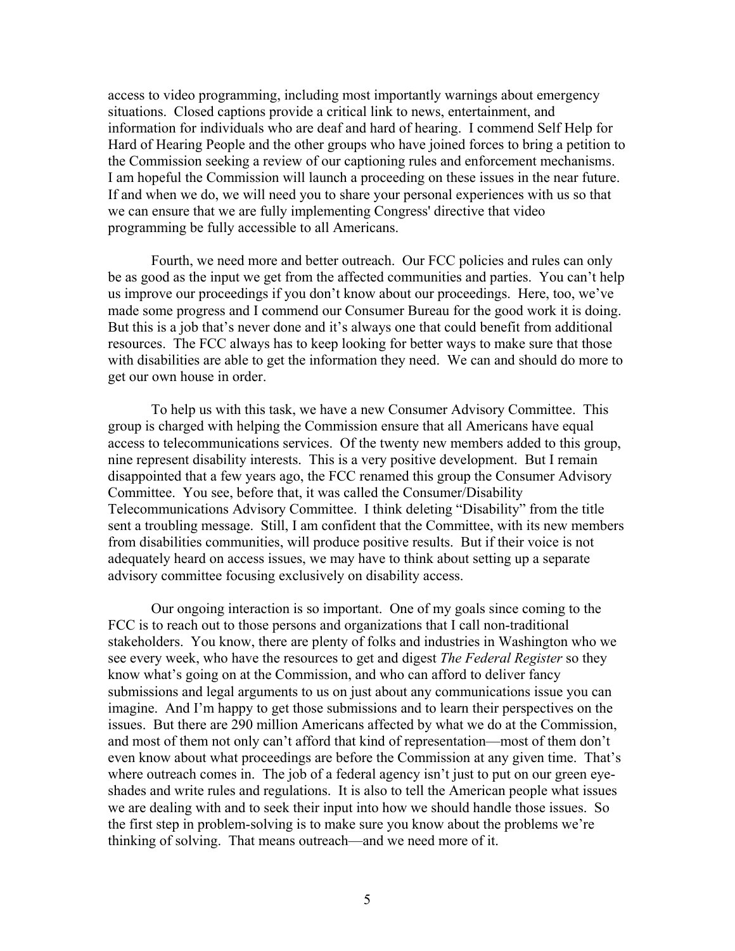access to video programming, including most importantly warnings about emergency situations. Closed captions provide a critical link to news, entertainment, and information for individuals who are deaf and hard of hearing. I commend Self Help for Hard of Hearing People and the other groups who have joined forces to bring a petition to the Commission seeking a review of our captioning rules and enforcement mechanisms. I am hopeful the Commission will launch a proceeding on these issues in the near future. If and when we do, we will need you to share your personal experiences with us so that we can ensure that we are fully implementing Congress' directive that video programming be fully accessible to all Americans.

 Fourth, we need more and better outreach. Our FCC policies and rules can only be as good as the input we get from the affected communities and parties. You can't help us improve our proceedings if you don't know about our proceedings. Here, too, we've made some progress and I commend our Consumer Bureau for the good work it is doing. But this is a job that's never done and it's always one that could benefit from additional resources. The FCC always has to keep looking for better ways to make sure that those with disabilities are able to get the information they need. We can and should do more to get our own house in order.

To help us with this task, we have a new Consumer Advisory Committee. This group is charged with helping the Commission ensure that all Americans have equal access to telecommunications services. Of the twenty new members added to this group, nine represent disability interests. This is a very positive development. But I remain disappointed that a few years ago, the FCC renamed this group the Consumer Advisory Committee. You see, before that, it was called the Consumer/Disability Telecommunications Advisory Committee. I think deleting "Disability" from the title sent a troubling message. Still, I am confident that the Committee, with its new members from disabilities communities, will produce positive results. But if their voice is not adequately heard on access issues, we may have to think about setting up a separate advisory committee focusing exclusively on disability access.

 Our ongoing interaction is so important. One of my goals since coming to the FCC is to reach out to those persons and organizations that I call non-traditional stakeholders. You know, there are plenty of folks and industries in Washington who we see every week, who have the resources to get and digest *The Federal Register* so they know what's going on at the Commission, and who can afford to deliver fancy submissions and legal arguments to us on just about any communications issue you can imagine. And I'm happy to get those submissions and to learn their perspectives on the issues. But there are 290 million Americans affected by what we do at the Commission, and most of them not only can't afford that kind of representation—most of them don't even know about what proceedings are before the Commission at any given time. That's where outreach comes in. The job of a federal agency isn't just to put on our green eyeshades and write rules and regulations. It is also to tell the American people what issues we are dealing with and to seek their input into how we should handle those issues. So the first step in problem-solving is to make sure you know about the problems we're thinking of solving. That means outreach—and we need more of it.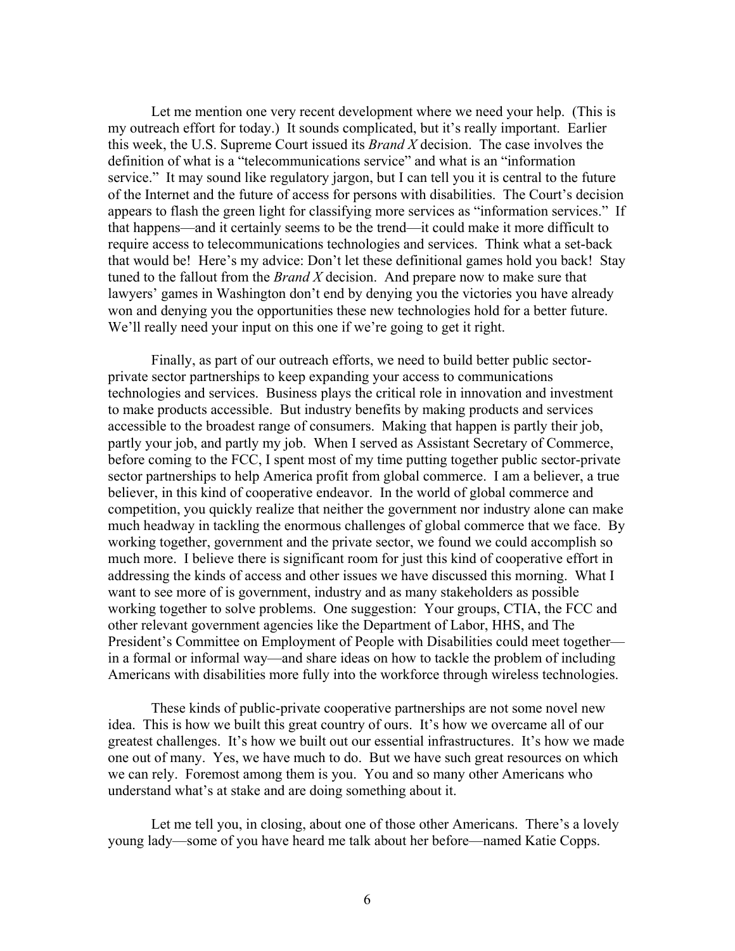Let me mention one very recent development where we need your help. (This is my outreach effort for today.) It sounds complicated, but it's really important. Earlier this week, the U.S. Supreme Court issued its *Brand X* decision. The case involves the definition of what is a "telecommunications service" and what is an "information service." It may sound like regulatory jargon, but I can tell you it is central to the future of the Internet and the future of access for persons with disabilities. The Court's decision appears to flash the green light for classifying more services as "information services." If that happens—and it certainly seems to be the trend—it could make it more difficult to require access to telecommunications technologies and services. Think what a set-back that would be! Here's my advice: Don't let these definitional games hold you back! Stay tuned to the fallout from the *Brand X* decision. And prepare now to make sure that lawyers' games in Washington don't end by denying you the victories you have already won and denying you the opportunities these new technologies hold for a better future. We'll really need your input on this one if we're going to get it right.

 Finally, as part of our outreach efforts, we need to build better public sectorprivate sector partnerships to keep expanding your access to communications technologies and services. Business plays the critical role in innovation and investment to make products accessible. But industry benefits by making products and services accessible to the broadest range of consumers. Making that happen is partly their job, partly your job, and partly my job. When I served as Assistant Secretary of Commerce, before coming to the FCC, I spent most of my time putting together public sector-private sector partnerships to help America profit from global commerce. I am a believer, a true believer, in this kind of cooperative endeavor. In the world of global commerce and competition, you quickly realize that neither the government nor industry alone can make much headway in tackling the enormous challenges of global commerce that we face. By working together, government and the private sector, we found we could accomplish so much more. I believe there is significant room for just this kind of cooperative effort in addressing the kinds of access and other issues we have discussed this morning. What I want to see more of is government, industry and as many stakeholders as possible working together to solve problems. One suggestion: Your groups, CTIA, the FCC and other relevant government agencies like the Department of Labor, HHS, and The President's Committee on Employment of People with Disabilities could meet together in a formal or informal way—and share ideas on how to tackle the problem of including Americans with disabilities more fully into the workforce through wireless technologies.

 These kinds of public-private cooperative partnerships are not some novel new idea. This is how we built this great country of ours. It's how we overcame all of our greatest challenges. It's how we built out our essential infrastructures. It's how we made one out of many. Yes, we have much to do. But we have such great resources on which we can rely. Foremost among them is you. You and so many other Americans who understand what's at stake and are doing something about it.

Let me tell you, in closing, about one of those other Americans. There's a lovely young lady—some of you have heard me talk about her before—named Katie Copps.